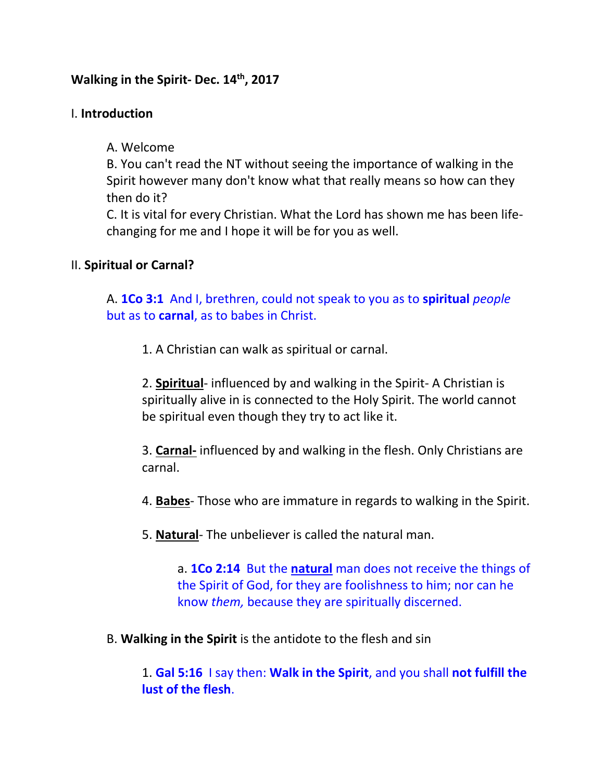# **Walking in the Spirit- Dec. 14th, 2017**

## I. **Introduction**

A. Welcome

B. You can't read the NT without seeing the importance of walking in the Spirit however many don't know what that really means so how can they then do it?

C. It is vital for every Christian. What the Lord has shown me has been lifechanging for me and I hope it will be for you as well.

## II. **Spiritual or Carnal?**

A. **1Co 3:1** And I, brethren, could not speak to you as to **spiritual** *people* but as to **carnal**, as to babes in Christ.

1. A Christian can walk as spiritual or carnal.

2. **Spiritual**- influenced by and walking in the Spirit- A Christian is spiritually alive in is connected to the Holy Spirit. The world cannot be spiritual even though they try to act like it.

3. **Carnal-** influenced by and walking in the flesh. Only Christians are carnal.

4. **Babes**- Those who are immature in regards to walking in the Spirit.

5. **Natural**- The unbeliever is called the natural man.

a. **1Co 2:14** But the **natural** man does not receive the things of the Spirit of God, for they are foolishness to him; nor can he know *them,* because they are spiritually discerned.

B. **Walking in the Spirit** is the antidote to the flesh and sin

1. **Gal 5:16** I say then: **Walk in the Spirit**, and you shall **not fulfill the lust of the flesh**.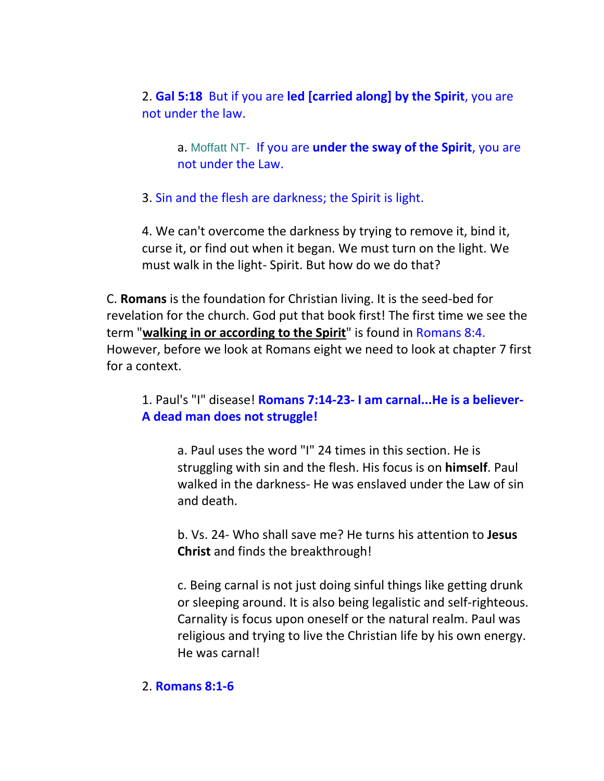2. **Gal 5:18** But if you are **led [carried along] by the Spirit**, you are not under the law.

a. Moffatt NT- If you are **under the sway of the Spirit**, you are not under the Law.

3. Sin and the flesh are darkness; the Spirit is light.

4. We can't overcome the darkness by trying to remove it, bind it, curse it, or find out when it began. We must turn on the light. We must walk in the light- Spirit. But how do we do that?

C. **Romans** is the foundation for Christian living. It is the seed-bed for revelation for the church. God put that book first! The first time we see the term "**walking in or according to the Spirit**" is found in Romans 8:4. However, before we look at Romans eight we need to look at chapter 7 first for a context.

1. Paul's "I" disease! **Romans 7:14-23- I am carnal...He is a believer-A dead man does not struggle!**

a. Paul uses the word "I" 24 times in this section. He is struggling with sin and the flesh. His focus is on **himself**. Paul walked in the darkness- He was enslaved under the Law of sin and death.

b. Vs. 24- Who shall save me? He turns his attention to **Jesus Christ** and finds the breakthrough!

c. Being carnal is not just doing sinful things like getting drunk or sleeping around. It is also being legalistic and self-righteous. Carnality is focus upon oneself or the natural realm. Paul was religious and trying to live the Christian life by his own energy. He was carnal!

### 2. **Romans 8:1-6**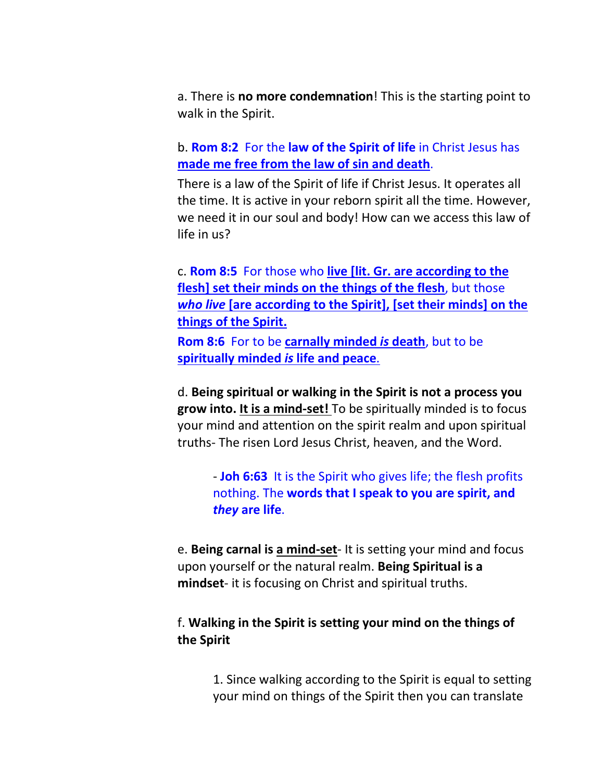a. There is **no more condemnation**! This is the starting point to walk in the Spirit.

b. **Rom 8:2** For the **law of the Spirit of life** in Christ Jesus has **made me free from the law of sin and death**.

There is a law of the Spirit of life if Christ Jesus. It operates all the time. It is active in your reborn spirit all the time. However, we need it in our soul and body! How can we access this law of life in us?

c. **Rom 8:5** For those who **live [lit. Gr. are according to the flesh] set their minds on the things of the flesh**, but those *who live* **[are according to the Spirit], [set their minds] on the things of the Spirit.**

**Rom 8:6** For to be **carnally minded** *is* **death**, but to be **spiritually minded** *is* **life and peace**.

d. **Being spiritual or walking in the Spirit is not a process you grow into. It is a mind-set!** To be spiritually minded is to focus your mind and attention on the spirit realm and upon spiritual truths- The risen Lord Jesus Christ, heaven, and the Word.

- **Joh 6:63** It is the Spirit who gives life; the flesh profits nothing. The **words that I speak to you are spirit, and**  *they* **are life**.

e. **Being carnal is a mind-set**- It is setting your mind and focus upon yourself or the natural realm. **Being Spiritual is a mindset**- it is focusing on Christ and spiritual truths.

## f. **Walking in the Spirit is setting your mind on the things of the Spirit**

1. Since walking according to the Spirit is equal to setting your mind on things of the Spirit then you can translate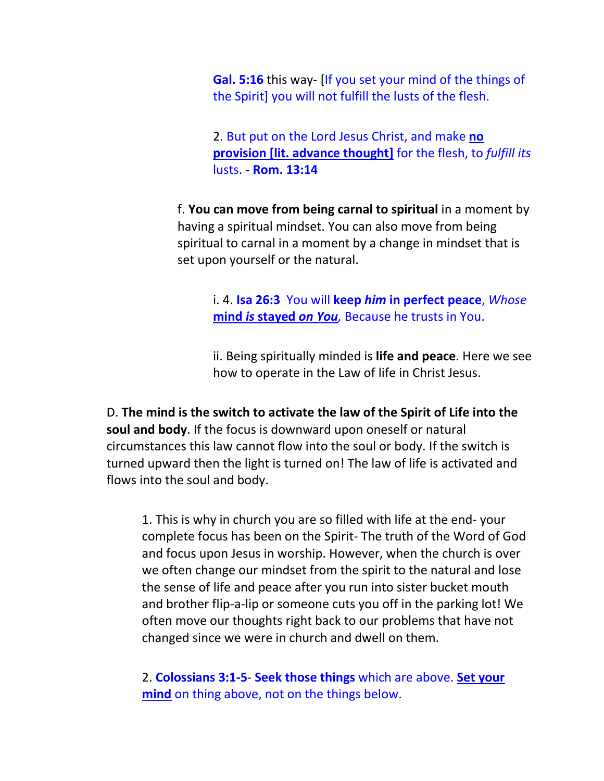**Gal. 5:16** this way- [If you set your mind of the things of the Spirit] you will not fulfill the lusts of the flesh.

2. But put on the Lord Jesus Christ, and make **no provision [lit. advance thought]** for the flesh, to *fulfill its* lusts. - **Rom. 13:14**

f. **You can move from being carnal to spiritual** in a moment by having a spiritual mindset. You can also move from being spiritual to carnal in a moment by a change in mindset that is set upon yourself or the natural.

> i. 4. **Isa 26:3** You will **keep** *him* **in perfect peace**, *Whose* **mind** *is* **stayed** *on You,* Because he trusts in You.

ii. Being spiritually minded is **life and peace**. Here we see how to operate in the Law of life in Christ Jesus.

D. **The mind is the switch to activate the law of the Spirit of Life into the soul and body**. If the focus is downward upon oneself or natural circumstances this law cannot flow into the soul or body. If the switch is turned upward then the light is turned on! The law of life is activated and flows into the soul and body.

1. This is why in church you are so filled with life at the end- your complete focus has been on the Spirit- The truth of the Word of God and focus upon Jesus in worship. However, when the church is over we often change our mindset from the spirit to the natural and lose the sense of life and peace after you run into sister bucket mouth and brother flip-a-lip or someone cuts you off in the parking lot! We often move our thoughts right back to our problems that have not changed since we were in church and dwell on them.

2. **Colossians 3:1-5**- **Seek those things** which are above. **Set your mind** on thing above, not on the things below.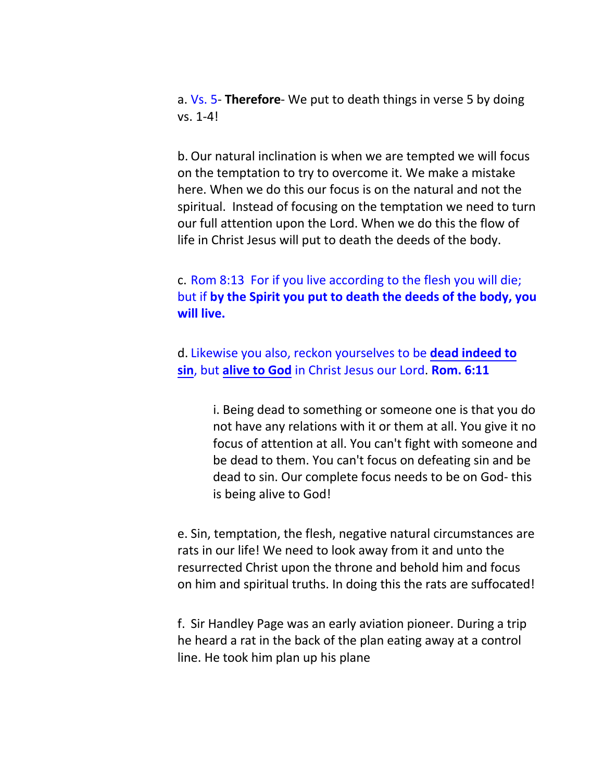a. Vs. 5- **Therefore**- We put to death things in verse 5 by doing vs. 1-4!

b. Our natural inclination is when we are tempted we will focus on the temptation to try to overcome it. We make a mistake here. When we do this our focus is on the natural and not the spiritual. Instead of focusing on the temptation we need to turn our full attention upon the Lord. When we do this the flow of life in Christ Jesus will put to death the deeds of the body.

c. Rom 8:13 For if you live according to the flesh you will die; but if **by the Spirit you put to death the deeds of the body, you will live.**

d. Likewise you also, reckon yourselves to be **dead indeed to sin**, but **alive to God** in Christ Jesus our Lord. **Rom. 6:11**

> i. Being dead to something or someone one is that you do not have any relations with it or them at all. You give it no focus of attention at all. You can't fight with someone and be dead to them. You can't focus on defeating sin and be dead to sin. Our complete focus needs to be on God- this is being alive to God!

e. Sin, temptation, the flesh, negative natural circumstances are rats in our life! We need to look away from it and unto the resurrected Christ upon the throne and behold him and focus on him and spiritual truths. In doing this the rats are suffocated!

f. Sir Handley Page was an early aviation pioneer. During a trip he heard a rat in the back of the plan eating away at a control line. He took him plan up his plane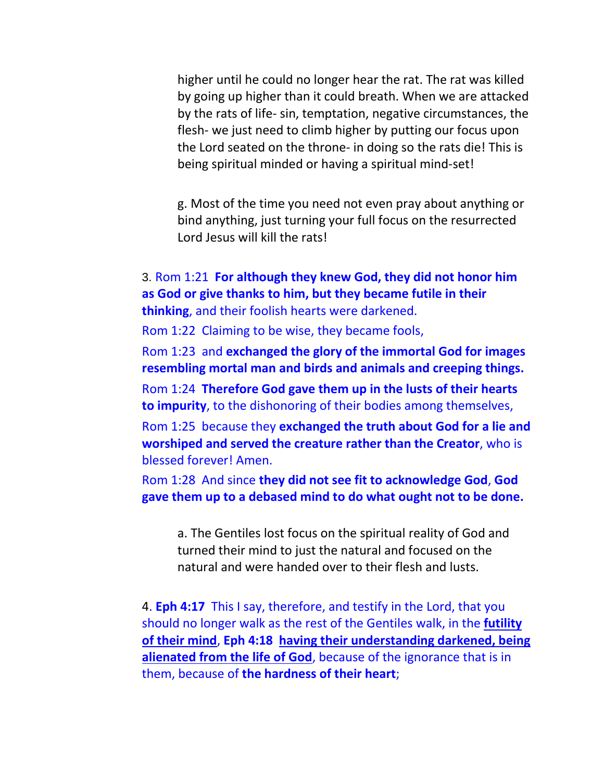higher until he could no longer hear the rat. The rat was killed by going up higher than it could breath. When we are attacked by the rats of life- sin, temptation, negative circumstances, the flesh- we just need to climb higher by putting our focus upon the Lord seated on the throne- in doing so the rats die! This is being spiritual minded or having a spiritual mind-set!

g. Most of the time you need not even pray about anything or bind anything, just turning your full focus on the resurrected Lord Jesus will kill the rats!

3. Rom 1:21 **For although they knew God, they did not honor him as God or give thanks to him, but they became futile in their thinking**, and their foolish hearts were darkened.

Rom 1:22 Claiming to be wise, they became fools,

Rom 1:23 and **exchanged the glory of the immortal God for images resembling mortal man and birds and animals and creeping things.**

Rom 1:24 **Therefore God gave them up in the lusts of their hearts to impurity**, to the dishonoring of their bodies among themselves,

Rom 1:25 because they **exchanged the truth about God for a lie and worshiped and served the creature rather than the Creator**, who is blessed forever! Amen.

Rom 1:28 And since **they did not see fit to acknowledge God**, **God gave them up to a debased mind to do what ought not to be done.**

a. The Gentiles lost focus on the spiritual reality of God and turned their mind to just the natural and focused on the natural and were handed over to their flesh and lusts.

4. **Eph 4:17** This I say, therefore, and testify in the Lord, that you should no longer walk as the rest of the Gentiles walk, in the **futility of their mind**, **Eph 4:18 having their understanding darkened, being alienated from the life of God**, because of the ignorance that is in them, because of **the hardness of their heart**;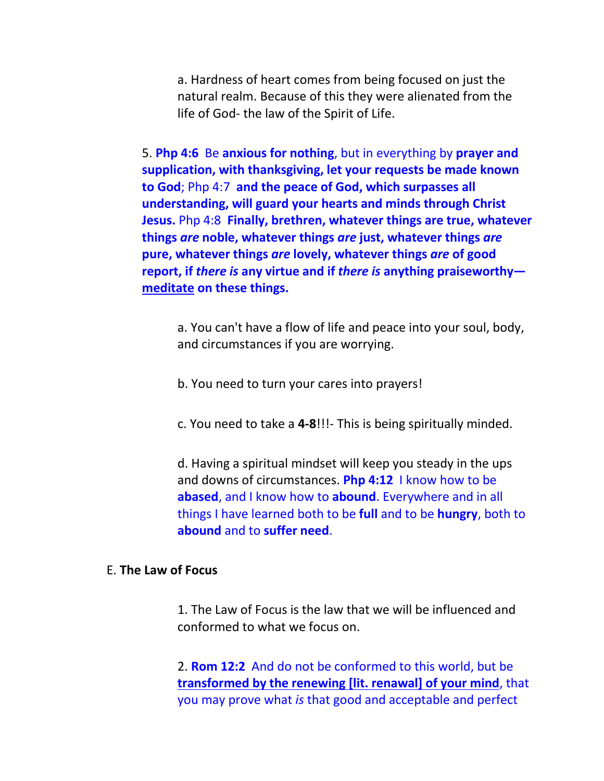a. Hardness of heart comes from being focused on just the natural realm. Because of this they were alienated from the life of God- the law of the Spirit of Life.

5. **Php 4:6** Be **anxious for nothing**, but in everything by **prayer and supplication, with thanksgiving, let your requests be made known to God**; Php 4:7 **and the peace of God, which surpasses all understanding, will guard your hearts and minds through Christ Jesus.** Php 4:8 **Finally, brethren, whatever things are true, whatever things** *are* **noble, whatever things** *are* **just, whatever things** *are* **pure, whatever things** *are* **lovely, whatever things** *are* **of good report, if** *there is* **any virtue and if** *there is* **anything praiseworthy meditate on these things.**

a. You can't have a flow of life and peace into your soul, body, and circumstances if you are worrying.

b. You need to turn your cares into prayers!

c. You need to take a **4-8**!!!- This is being spiritually minded.

d. Having a spiritual mindset will keep you steady in the ups and downs of circumstances. **Php 4:12** I know how to be **abased**, and I know how to **abound**. Everywhere and in all things I have learned both to be **full** and to be **hungry**, both to **abound** and to **suffer need**.

## E. **The Law of Focus**

1. The Law of Focus is the law that we will be influenced and conformed to what we focus on.

2. **Rom 12:2** And do not be conformed to this world, but be **transformed by the renewing [lit. renawal] of your mind**, that you may prove what *is* that good and acceptable and perfect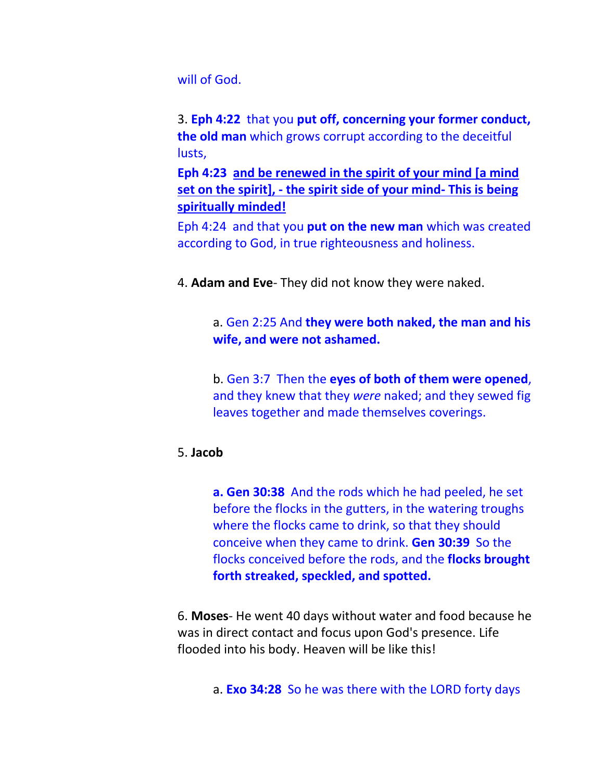will of God.

3. **Eph 4:22** that you **put off, concerning your former conduct, the old man** which grows corrupt according to the deceitful lusts,

**Eph 4:23 and be renewed in the spirit of your mind [a mind set on the spirit], - the spirit side of your mind- This is being spiritually minded!**

Eph 4:24 and that you **put on the new man** which was created according to God, in true righteousness and holiness.

4. **Adam and Eve**- They did not know they were naked.

# a. Gen 2:25 And **they were both naked, the man and his wife, and were not ashamed.**

b. Gen 3:7 Then the **eyes of both of them were opened**, and they knew that they *were* naked; and they sewed fig leaves together and made themselves coverings.

## 5. **Jacob**

**a. Gen 30:38** And the rods which he had peeled, he set before the flocks in the gutters, in the watering troughs where the flocks came to drink, so that they should conceive when they came to drink. **Gen 30:39** So the flocks conceived before the rods, and the **flocks brought forth streaked, speckled, and spotted.**

6. **Moses**- He went 40 days without water and food because he was in direct contact and focus upon God's presence. Life flooded into his body. Heaven will be like this!

a. **Exo 34:28** So he was there with the LORD forty days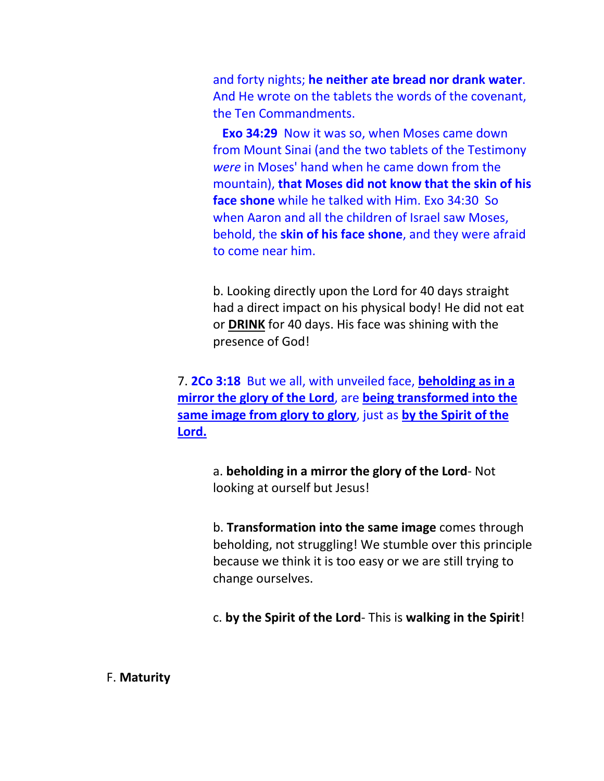and forty nights; **he neither ate bread nor drank water**. And He wrote on the tablets the words of the covenant, the Ten Commandments.

 **Exo 34:29** Now it was so, when Moses came down from Mount Sinai (and the two tablets of the Testimony *were* in Moses' hand when he came down from the mountain), **that Moses did not know that the skin of his face shone** while he talked with Him. Exo 34:30 So when Aaron and all the children of Israel saw Moses, behold, the **skin of his face shone**, and they were afraid to come near him.

b. Looking directly upon the Lord for 40 days straight had a direct impact on his physical body! He did not eat or **DRINK** for 40 days. His face was shining with the presence of God!

7. **2Co 3:18** But we all, with unveiled face, **beholding as in a mirror the glory of the Lord**, are **being transformed into the same image from glory to glory**, just as **by the Spirit of the Lord.**

> a. **beholding in a mirror the glory of the Lord**- Not looking at ourself but Jesus!

b. **Transformation into the same image** comes through beholding, not struggling! We stumble over this principle because we think it is too easy or we are still trying to change ourselves.

c. **by the Spirit of the Lord**- This is **walking in the Spirit**!

F. **Maturity**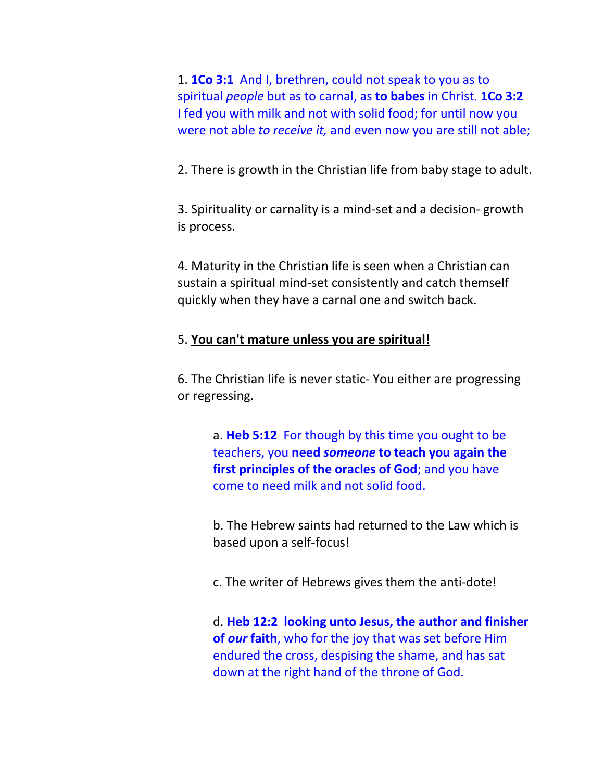1. **1Co 3:1** And I, brethren, could not speak to you as to spiritual *people* but as to carnal, as **to babes** in Christ. **1Co 3:2** I fed you with milk and not with solid food; for until now you were not able *to receive it,* and even now you are still not able;

2. There is growth in the Christian life from baby stage to adult.

3. Spirituality or carnality is a mind-set and a decision- growth is process.

4. Maturity in the Christian life is seen when a Christian can sustain a spiritual mind-set consistently and catch themself quickly when they have a carnal one and switch back.

#### 5. **You can't mature unless you are spiritual!**

6. The Christian life is never static- You either are progressing or regressing.

> a. **Heb 5:12** For though by this time you ought to be teachers, you **need** *someone* **to teach you again the first principles of the oracles of God**; and you have come to need milk and not solid food.

b. The Hebrew saints had returned to the Law which is based upon a self-focus!

c. The writer of Hebrews gives them the anti-dote!

d. **Heb 12:2 looking unto Jesus, the author and finisher of** *our* **faith**, who for the joy that was set before Him endured the cross, despising the shame, and has sat down at the right hand of the throne of God.